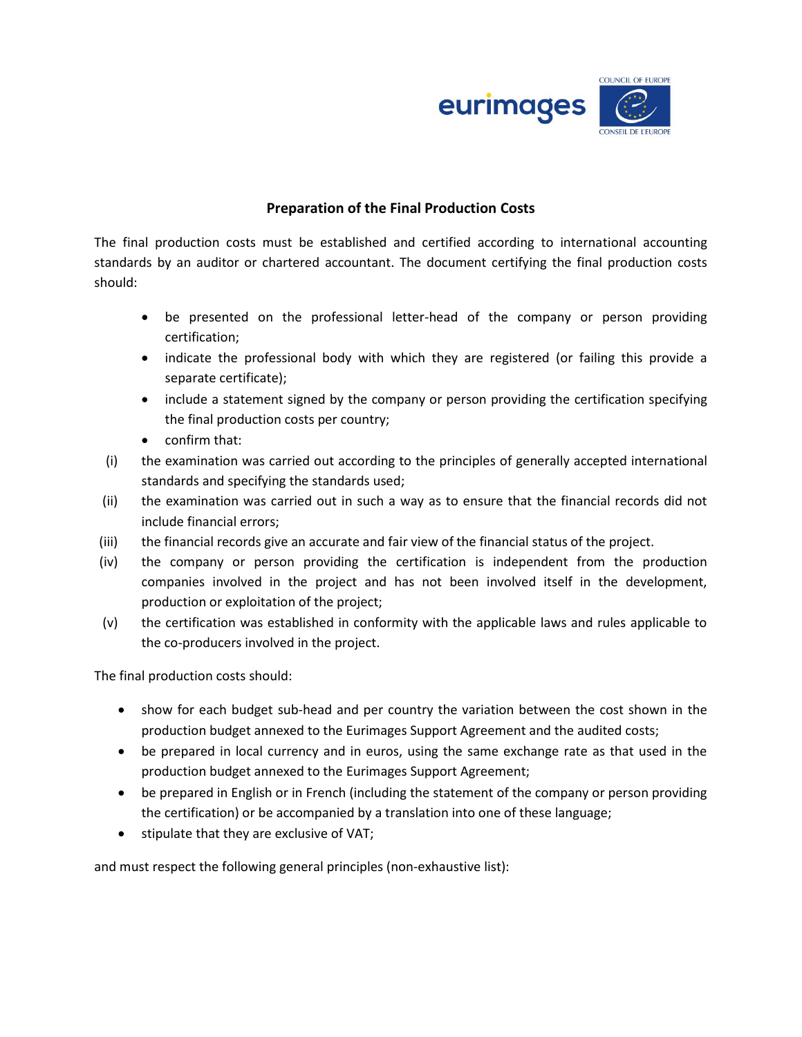

## **Preparation of the Final Production Costs**

The final production costs must be established and certified according to international accounting standards by an auditor or chartered accountant. The document certifying the final production costs should:

- be presented on the professional letter-head of the company or person providing certification;
- indicate the professional body with which they are registered (or failing this provide a separate certificate);
- include a statement signed by the company or person providing the certification specifying the final production costs per country;
- confirm that:
- (i) the examination was carried out according to the principles of generally accepted international standards and specifying the standards used;
- (ii) the examination was carried out in such a way as to ensure that the financial records did not include financial errors;
- (iii) the financial records give an accurate and fair view of the financial status of the project.
- (iv) the company or person providing the certification is independent from the production companies involved in the project and has not been involved itself in the development, production or exploitation of the project;
- (v) the certification was established in conformity with the applicable laws and rules applicable to the co-producers involved in the project.

The final production costs should:

- show for each budget sub-head and per country the variation between the cost shown in the production budget annexed to the Eurimages Support Agreement and the audited costs;
- be prepared in local currency and in euros, using the same exchange rate as that used in the production budget annexed to the Eurimages Support Agreement;
- be prepared in English or in French (including the statement of the company or person providing the certification) or be accompanied by a translation into one of these language;
- stipulate that they are exclusive of VAT;

and must respect the following general principles (non-exhaustive list):